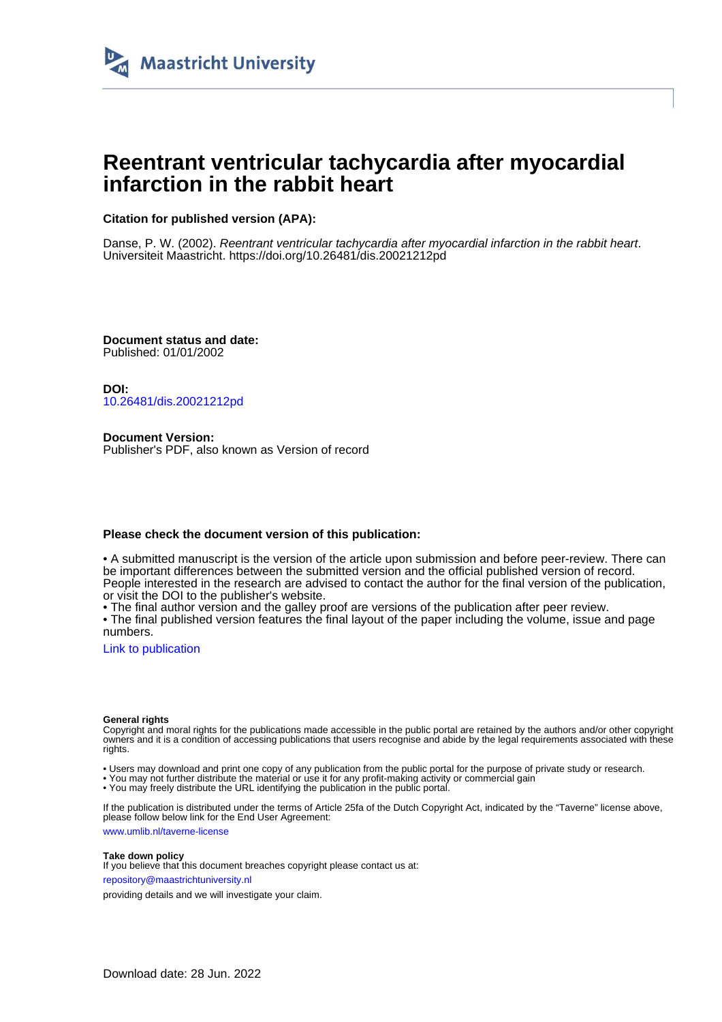

# **Reentrant ventricular tachycardia after myocardial infarction in the rabbit heart**

# **Citation for published version (APA):**

Danse, P. W. (2002). Reentrant ventricular tachycardia after myocardial infarction in the rabbit heart. Universiteit Maastricht. <https://doi.org/10.26481/dis.20021212pd>

**Document status and date:** Published: 01/01/2002

**DOI:** [10.26481/dis.20021212pd](https://doi.org/10.26481/dis.20021212pd)

**Document Version:** Publisher's PDF, also known as Version of record

## **Please check the document version of this publication:**

• A submitted manuscript is the version of the article upon submission and before peer-review. There can be important differences between the submitted version and the official published version of record. People interested in the research are advised to contact the author for the final version of the publication, or visit the DOI to the publisher's website.

• The final author version and the galley proof are versions of the publication after peer review.

• The final published version features the final layout of the paper including the volume, issue and page numbers.

[Link to publication](https://cris.maastrichtuniversity.nl/en/publications/907e4ff6-6923-4766-a22a-49f20178e17f)

#### **General rights**

Copyright and moral rights for the publications made accessible in the public portal are retained by the authors and/or other copyright owners and it is a condition of accessing publications that users recognise and abide by the legal requirements associated with these rights.

• Users may download and print one copy of any publication from the public portal for the purpose of private study or research.

• You may not further distribute the material or use it for any profit-making activity or commercial gain

• You may freely distribute the URL identifying the publication in the public portal.

If the publication is distributed under the terms of Article 25fa of the Dutch Copyright Act, indicated by the "Taverne" license above, please follow below link for the End User Agreement:

www.umlib.nl/taverne-license

### **Take down policy**

If you believe that this document breaches copyright please contact us at: repository@maastrichtuniversity.nl

providing details and we will investigate your claim.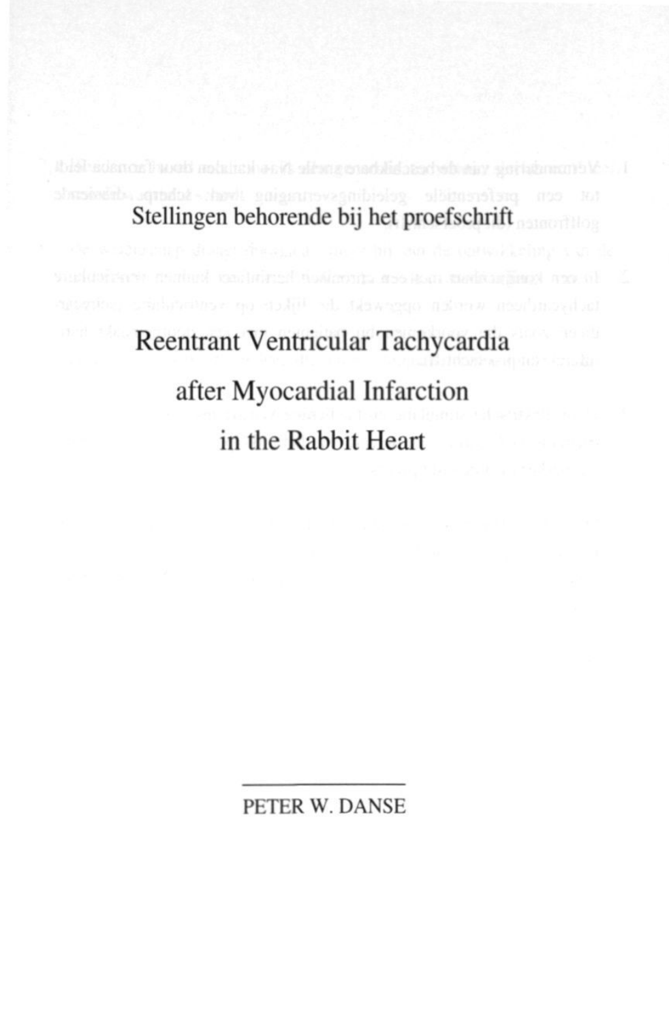**Stellingen behorende bij het proefschrift**

**Reentrant Ventricular Tachycardia after Myocardial Infarction in the Rabbit Heart**

PETER W. DANSE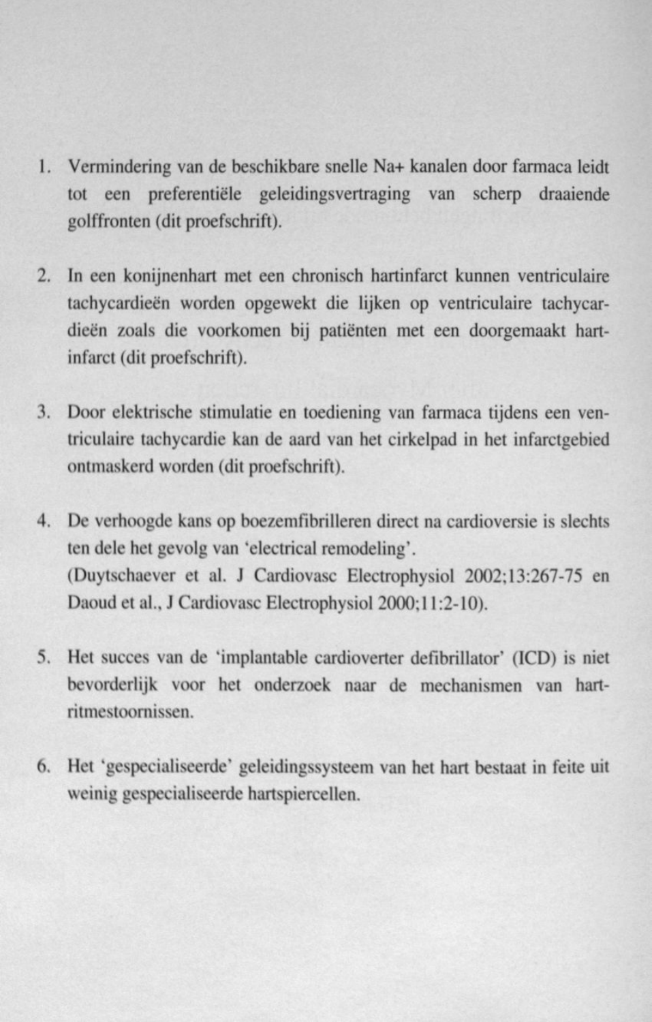- 1. Vermindering van de beschikbare snelle Na+ kanalen door farmaca leidt tot een preferentiele geleidingsvertraging van scherp draaiende golffronten (dit proefschrift).
- 2. In een konijncnhart met een chronisch hartinfarct kunnen ventriculaire tachycardieen worden opgewekt die lijken op ventriculaire tachycardieen zoals die voorkomen bij patienten met een doorgemaakt hartinfarct (dit proefschrift).
- 3. Door elektrische stimulatie en toediening van farmaca tijdens een ventriculaire tachycardie kan de aard van het cirkelpad in het infarctgebied ontmaskerd worden (dit proefschrift).
- 4. De verhoogde kans op boezemfibrilleren direct na cardioversie is slechts ten dele het gevolg van 'electrical remodeling'. (Duytschaever et al. J Cardiovasc Electrophysiol 2002; 13:267-75 en Daoud et al.. J Cardiovasc Electrophysiol 2000:11:2-10).
- 5. Het succes van de 'implantable cardioverter defibrillator' (ICD) is niet bevorderlijk voor het onderzoek naar de mechanismen van hartritmestoornissen.
- 6. Het 'gespecialiscerde' geleidingssysteem van het hart bestaat in feite uit weinig gespecialiseerde hartspiercellen.